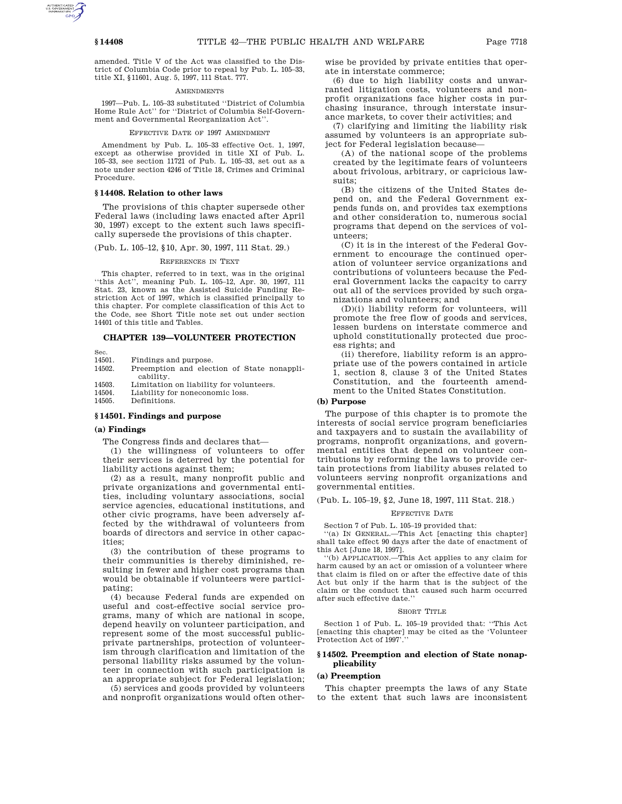amended. Title V of the Act was classified to the District of Columbia Code prior to repeal by Pub. L. 105–33, title XI, §11601, Aug. 5, 1997, 111 Stat. 777.

#### **AMENDMENTS**

1997—Pub. L. 105–33 substituted ''District of Columbia Home Rule Act'' for ''District of Columbia Self-Government and Governmental Reorganization Act''.

#### EFFECTIVE DATE OF 1997 AMENDMENT

Amendment by Pub. L. 105–33 effective Oct. 1, 1997, except as otherwise provided in title XI of Pub. L. 105–33, see section 11721 of Pub. L. 105–33, set out as a note under section 4246 of Title 18, Crimes and Criminal Procedure.

#### **§ 14408. Relation to other laws**

The provisions of this chapter supersede other Federal laws (including laws enacted after April 30, 1997) except to the extent such laws specifically supersede the provisions of this chapter.

(Pub. L. 105–12, §10, Apr. 30, 1997, 111 Stat. 29.)

#### REFERENCES IN TEXT

This chapter, referred to in text, was in the original ''this Act'', meaning Pub. L. 105–12, Apr. 30, 1997, 111 Stat. 23, known as the Assisted Suicide Funding Restriction Act of 1997, which is classified principally to this chapter. For complete classification of this Act to the Code, see Short Title note set out under section 14401 of this title and Tables.

### **CHAPTER 139—VOLUNTEER PROTECTION**

Sec.<br>14501

| 14501. | Findings and purpose. |
|--------|-----------------------|
| 1.500  | <del>.</del>          |

14502. Preemption and election of State nonapplicability.

14503. Limitation on liability for volunteers.

14504. Liability for noneconomic loss. 14505. Definitions.

## **§ 14501. Findings and purpose**

### **(a) Findings**

The Congress finds and declares that—

(1) the willingness of volunteers to offer their services is deterred by the potential for liability actions against them;

(2) as a result, many nonprofit public and private organizations and governmental entities, including voluntary associations, social service agencies, educational institutions, and other civic programs, have been adversely affected by the withdrawal of volunteers from boards of directors and service in other capacities;

(3) the contribution of these programs to their communities is thereby diminished, resulting in fewer and higher cost programs than would be obtainable if volunteers were participating;

(4) because Federal funds are expended on useful and cost-effective social service programs, many of which are national in scope, depend heavily on volunteer participation, and represent some of the most successful publicprivate partnerships, protection of volunteerism through clarification and limitation of the personal liability risks assumed by the volunteer in connection with such participation is an appropriate subject for Federal legislation;

(5) services and goods provided by volunteers and nonprofit organizations would often other-

wise be provided by private entities that operate in interstate commerce;

(6) due to high liability costs and unwarranted litigation costs, volunteers and nonprofit organizations face higher costs in purchasing insurance, through interstate insurance markets, to cover their activities; and

(7) clarifying and limiting the liability risk assumed by volunteers is an appropriate subject for Federal legislation because—

(A) of the national scope of the problems created by the legitimate fears of volunteers about frivolous, arbitrary, or capricious lawsuits;

(B) the citizens of the United States depend on, and the Federal Government expends funds on, and provides tax exemptions and other consideration to, numerous social programs that depend on the services of volunteers;

(C) it is in the interest of the Federal Government to encourage the continued operation of volunteer service organizations and contributions of volunteers because the Federal Government lacks the capacity to carry out all of the services provided by such organizations and volunteers; and

(D)(i) liability reform for volunteers, will promote the free flow of goods and services, lessen burdens on interstate commerce and uphold constitutionally protected due process rights; and

(ii) therefore, liability reform is an appropriate use of the powers contained in article 1, section 8, clause 3 of the United States Constitution, and the fourteenth amendment to the United States Constitution.

## **(b) Purpose**

The purpose of this chapter is to promote the interests of social service program beneficiaries and taxpayers and to sustain the availability of programs, nonprofit organizations, and governmental entities that depend on volunteer contributions by reforming the laws to provide certain protections from liability abuses related to volunteers serving nonprofit organizations and governmental entities.

(Pub. L. 105–19, §2, June 18, 1997, 111 Stat. 218.)

### EFFECTIVE DATE

Section 7 of Pub. L. 105–19 provided that:

''(a) IN GENERAL.—This Act [enacting this chapter] shall take effect 90 days after the date of enactment of this Act [June 18, 1997].

''(b) APPLICATION.—This Act applies to any claim for harm caused by an act or omission of a volunteer where that claim is filed on or after the effective date of this Act but only if the harm that is the subject of the claim or the conduct that caused such harm occurred after such effective date.''

#### SHORT TITLE

Section 1 of Pub. L. 105–19 provided that: ''This Act [enacting this chapter] may be cited as the 'Volunteer Protection Act of 1997'.'

## **§ 14502. Preemption and election of State nonapplicability**

## **(a) Preemption**

This chapter preempts the laws of any State to the extent that such laws are inconsistent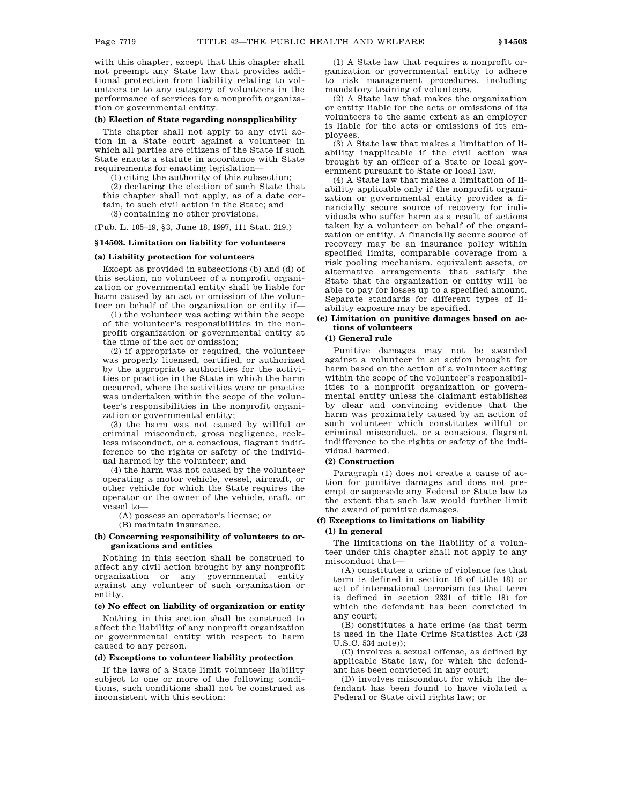with this chapter, except that this chapter shall not preempt any State law that provides additional protection from liability relating to volunteers or to any category of volunteers in the performance of services for a nonprofit organization or governmental entity.

# **(b) Election of State regarding nonapplicability**

This chapter shall not apply to any civil action in a State court against a volunteer in which all parties are citizens of the State if such State enacts a statute in accordance with State requirements for enacting legislation—

(1) citing the authority of this subsection;

(2) declaring the election of such State that this chapter shall not apply, as of a date cer-

tain, to such civil action in the State; and (3) containing no other provisions.

(Pub. L. 105–19, §3, June 18, 1997, 111 Stat. 219.)

# **§ 14503. Limitation on liability for volunteers**

# **(a) Liability protection for volunteers**

Except as provided in subsections (b) and (d) of this section, no volunteer of a nonprofit organization or governmental entity shall be liable for harm caused by an act or omission of the volunteer on behalf of the organization or entity if—

(1) the volunteer was acting within the scope of the volunteer's responsibilities in the nonprofit organization or governmental entity at the time of the act or omission;

(2) if appropriate or required, the volunteer was properly licensed, certified, or authorized by the appropriate authorities for the activities or practice in the State in which the harm occurred, where the activities were or practice was undertaken within the scope of the volunteer's responsibilities in the nonprofit organization or governmental entity;

(3) the harm was not caused by willful or criminal misconduct, gross negligence, reckless misconduct, or a conscious, flagrant indifference to the rights or safety of the individual harmed by the volunteer; and

(4) the harm was not caused by the volunteer operating a motor vehicle, vessel, aircraft, or other vehicle for which the State requires the operator or the owner of the vehicle, craft, or vessel to—

(A) possess an operator's license; or

(B) maintain insurance.

# **(b) Concerning responsibility of volunteers to organizations and entities**

Nothing in this section shall be construed to affect any civil action brought by any nonprofit organization or any governmental entity against any volunteer of such organization or entity.

# **(c) No effect on liability of organization or entity**

Nothing in this section shall be construed to affect the liability of any nonprofit organization or governmental entity with respect to harm caused to any person.

# **(d) Exceptions to volunteer liability protection**

If the laws of a State limit volunteer liability subject to one or more of the following conditions, such conditions shall not be construed as inconsistent with this section:

(1) A State law that requires a nonprofit organization or governmental entity to adhere to risk management procedures, including mandatory training of volunteers.

(2) A State law that makes the organization or entity liable for the acts or omissions of its volunteers to the same extent as an employer is liable for the acts or omissions of its employees.

(3) A State law that makes a limitation of liability inapplicable if the civil action was brought by an officer of a State or local government pursuant to State or local law.

(4) A State law that makes a limitation of liability applicable only if the nonprofit organization or governmental entity provides a financially secure source of recovery for individuals who suffer harm as a result of actions taken by a volunteer on behalf of the organization or entity. A financially secure source of recovery may be an insurance policy within specified limits, comparable coverage from a risk pooling mechanism, equivalent assets, or alternative arrangements that satisfy the State that the organization or entity will be able to pay for losses up to a specified amount. Separate standards for different types of liability exposure may be specified.

# **(e) Limitation on punitive damages based on actions of volunteers**

# **(1) General rule**

Punitive damages may not be awarded against a volunteer in an action brought for harm based on the action of a volunteer acting within the scope of the volunteer's responsibilities to a nonprofit organization or governmental entity unless the claimant establishes by clear and convincing evidence that the harm was proximately caused by an action of such volunteer which constitutes willful or criminal misconduct, or a conscious, flagrant indifference to the rights or safety of the individual harmed.

# **(2) Construction**

Paragraph (1) does not create a cause of action for punitive damages and does not preempt or supersede any Federal or State law to the extent that such law would further limit the award of punitive damages.

# **(f) Exceptions to limitations on liability**

# **(1) In general**

The limitations on the liability of a volunteer under this chapter shall not apply to any misconduct that—

(A) constitutes a crime of violence (as that term is defined in section 16 of title 18) or act of international terrorism (as that term is defined in section 2331 of title 18) for which the defendant has been convicted in any court;

(B) constitutes a hate crime (as that term is used in the Hate Crime Statistics Act (28 U.S.C. 534 note));

(C) involves a sexual offense, as defined by applicable State law, for which the defendant has been convicted in any court;

(D) involves misconduct for which the defendant has been found to have violated a Federal or State civil rights law; or